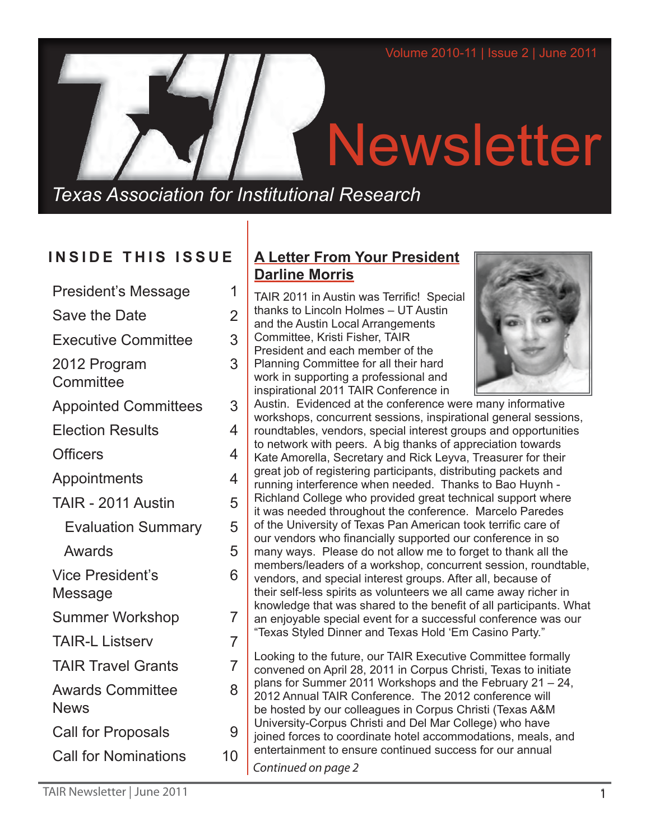# Newsletter

*Texas Association for Institutional Research*

# **INSIDE THIS ISSUE**

| <b>President's Message</b>             | 1              |
|----------------------------------------|----------------|
| <b>Save the Date</b>                   | $\overline{2}$ |
| <b>Executive Committee</b>             | 3              |
| 2012 Program<br>Committee              | 3              |
| <b>Appointed Committees</b>            | 3              |
| <b>Election Results</b>                | 4              |
| <b>Officers</b>                        | 4              |
| Appointments                           | 4              |
| TAIR - 2011 Austin                     | 5              |
| <b>Evaluation Summary</b>              | 5              |
| Awards                                 | 5              |
| <b>Vice President's</b><br>Message     | 6              |
| <b>Summer Workshop</b>                 | 7              |
| <b>TAIR-L Listserv</b>                 | 7              |
| <b>TAIR Travel Grants</b>              | $\overline{7}$ |
| <b>Awards Committee</b><br><b>News</b> | 8              |
| <b>Call for Proposals</b>              | 9              |
| <b>Call for Nominations</b>            | 10             |
|                                        |                |

# **A Letter From Your President Darline Morris**

TAIR 2011 in Austin was Terrific! Special thanks to Lincoln Holmes – UT Austin and the Austin Local Arrangements Committee, Kristi Fisher, TAIR President and each member of the Planning Committee for all their hard work in supporting a professional and inspirational 2011 TAIR Conference in



Austin. Evidenced at the conference were many informative workshops, concurrent sessions, inspirational general sessions, roundtables, vendors, special interest groups and opportunities to network with peers. A big thanks of appreciation towards Kate Amorella, Secretary and Rick Leyva, Treasurer for their great job of registering participants, distributing packets and running interference when needed. Thanks to Bao Huynh - Richland College who provided great technical support where it was needed throughout the conference. Marcelo Paredes of the University of Texas Pan American took terrific care of our vendors who financially supported our conference in so many ways. Please do not allow me to forget to thank all the members/leaders of a workshop, concurrent session, roundtable, vendors, and special interest groups. After all, because of their self-less spirits as volunteers we all came away richer in knowledge that was shared to the benefit of all participants. What an enjoyable special event for a successful conference was our "Texas Styled Dinner and Texas Hold 'Em Casino Party."

Looking to the future, our TAIR Executive Committee formally convened on April 28, 2011 in Corpus Christi, Texas to initiate plans for Summer 2011 Workshops and the February 21 – 24, 2012 Annual TAIR Conference. The 2012 conference will be hosted by our colleagues in Corpus Christi (Texas A&M University-Corpus Christi and Del Mar College) who have joined forces to coordinate hotel accommodations, meals, and entertainment to ensure continued success for our annual *Continued on page 2*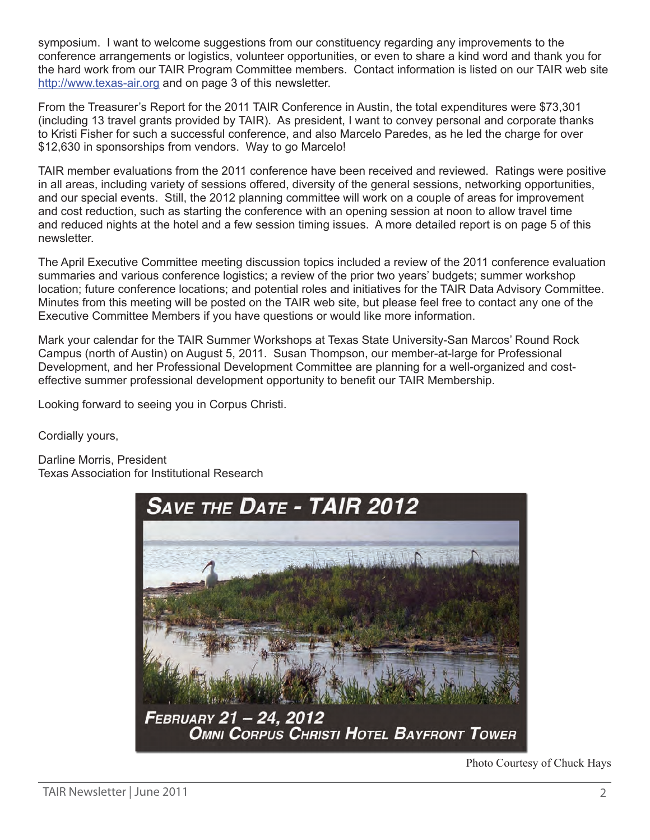symposium. I want to welcome suggestions from our constituency regarding any improvements to the conference arrangements or logistics, volunteer opportunities, or even to share a kind word and thank you for the hard work from our TAIR Program Committee members. Contact information is listed on our TAIR web site <http://www.texas-air.org> and on page 3 of this newsletter.

From the Treasurer's Report for the 2011 TAIR Conference in Austin, the total expenditures were \$73,301 (including 13 travel grants provided by TAIR). As president, I want to convey personal and corporate thanks to Kristi Fisher for such a successful conference, and also Marcelo Paredes, as he led the charge for over \$12,630 in sponsorships from vendors. Way to go Marcelo!

TAIR member evaluations from the 2011 conference have been received and reviewed. Ratings were positive in all areas, including variety of sessions offered, diversity of the general sessions, networking opportunities, and our special events. Still, the 2012 planning committee will work on a couple of areas for improvement and cost reduction, such as starting the conference with an opening session at noon to allow travel time and reduced nights at the hotel and a few session timing issues. A more detailed report is on page 5 of this newsletter.

The April Executive Committee meeting discussion topics included a review of the 2011 conference evaluation summaries and various conference logistics; a review of the prior two years' budgets; summer workshop location; future conference locations; and potential roles and initiatives for the TAIR Data Advisory Committee. Minutes from this meeting will be posted on the TAIR web site, but please feel free to contact any one of the Executive Committee Members if you have questions or would like more information.

Mark your calendar for the TAIR Summer Workshops at Texas State University-San Marcos' Round Rock Campus (north of Austin) on August 5, 2011. Susan Thompson, our member-at-large for Professional Development, and her Professional Development Committee are planning for a well-organized and costeffective summer professional development opportunity to benefit our TAIR Membership.

Looking forward to seeing you in Corpus Christi.

Cordially yours,

Darline Morris, President Texas Association for Institutional Research



Photo Courtesy of Chuck Hays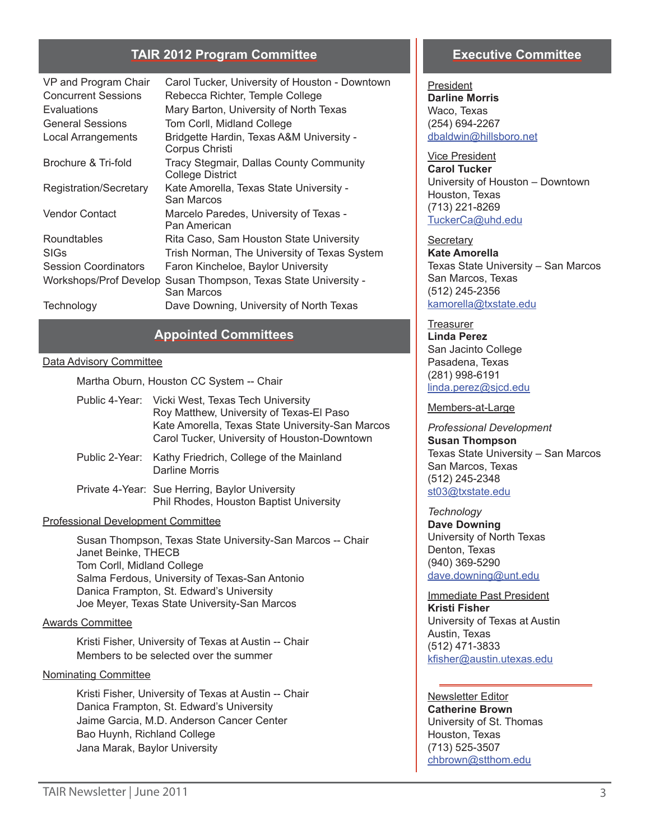#### **TAIR 2012 Program Committee**

| VP and Program Chair<br><b>Concurrent Sessions</b><br>Evaluations | Carol Tucker, University of Houston - Downtown<br>Rebecca Richter, Temple College<br>Mary Barton, University of North Texas |
|-------------------------------------------------------------------|-----------------------------------------------------------------------------------------------------------------------------|
| <b>General Sessions</b>                                           | Tom Corll, Midland College                                                                                                  |
| Local Arrangements                                                | Bridgette Hardin, Texas A&M University -<br>Corpus Christi                                                                  |
| Brochure & Tri-fold                                               | Tracy Stegmair, Dallas County Community<br><b>College District</b>                                                          |
| Registration/Secretary                                            | Kate Amorella, Texas State University -<br>San Marcos                                                                       |
| <b>Vendor Contact</b>                                             | Marcelo Paredes, University of Texas -<br>Pan American                                                                      |
| Roundtables                                                       | Rita Caso, Sam Houston State University                                                                                     |
| SIGs                                                              | Trish Norman, The University of Texas System                                                                                |
| <b>Session Coordinators</b>                                       | Faron Kincheloe, Baylor University                                                                                          |
| Workshops/Prof Develop                                            | Susan Thompson, Texas State University -<br>San Marcos                                                                      |
| Technology                                                        | Dave Downing, University of North Texas                                                                                     |

#### **Appointed Committees**

#### Data Advisory Committee

Martha Oburn, Houston CC System -- Chair

| Public 4-Year: Vicki West, Texas Tech University<br>Roy Matthew, University of Texas-El Paso<br>Kate Amorella, Texas State University-San Marcos<br>Carol Tucker, University of Houston-Downtown |
|--------------------------------------------------------------------------------------------------------------------------------------------------------------------------------------------------|
| Public 2-Year: Kathy Friedrich, College of the Mainland<br>Darline Morris                                                                                                                        |

Private 4-Year: Sue Herring, Baylor University Phil Rhodes, Houston Baptist University

#### Professional Development Committee

Susan Thompson, Texas State University-San Marcos -- Chair Janet Beinke, THECB Tom Corll, Midland College Salma Ferdous, University of Texas-San Antonio Danica Frampton, St. Edward's University Joe Meyer, Texas State University-San Marcos

#### Awards Committee

Kristi Fisher, University of Texas at Austin -- Chair Members to be selected over the summer

#### Nominating Committee

Kristi Fisher, University of Texas at Austin -- Chair Danica Frampton, St. Edward's University Jaime Garcia, M.D. Anderson Cancer Center Bao Huynh, Richland College Jana Marak, Baylor University

#### **Executive Committee**

President **Darline Morris** Waco, Texas (254) 694-2267 [dbaldwin@hillsboro.net](mailto:dbalwin%40hillsboro.net?subject=)

Vice President **Carol Tucker** University of Houston – Downtown Houston, Texas (713) 221-8269 [TuckerCa@uhd.edu](mailto:TuckerCa%40uhd.edu?subject=)

**Secretary Kate Amorella** Texas State University – San Marcos San Marcos, Texas (512) 245-2356 [kamorella@txstate.edu](mailto:kamorella%40txstate.edu?subject=)

#### **Treasurer**

**Linda Perez** San Jacinto College Pasadena, Texas (281) 998-6191 [linda.perez@sjcd.edu](mailto:linda.perez%40sjcd.edu?subject=)

#### Members-at-Large

*Professional Development*  **Susan Thompson** Texas State University – San Marcos San Marcos, Texas (512) 245-2348 [st03@txstate.edu](mailto:st03%40txstate.edu?subject=)

*Technology* **Dave Downing** University of North Texas Denton, Texas (940) 369-5290 [dave.downing@unt.edu](mailto:dave.downing%40unt.edu?subject=)

Immediate Past President **Kristi Fisher** University of Texas at Austin Austin, Texas (512) 471-3833 [kfisher@austin.utexas.edu](mailto:kfisher%40austin.utexas.edu?subject=)

Newsletter Editor **Catherine Brown** University of St. Thomas Houston, Texas (713) 525-3507 [chbrown@stthom.edu](mailto:chbrown%40stthom.edu?subject=)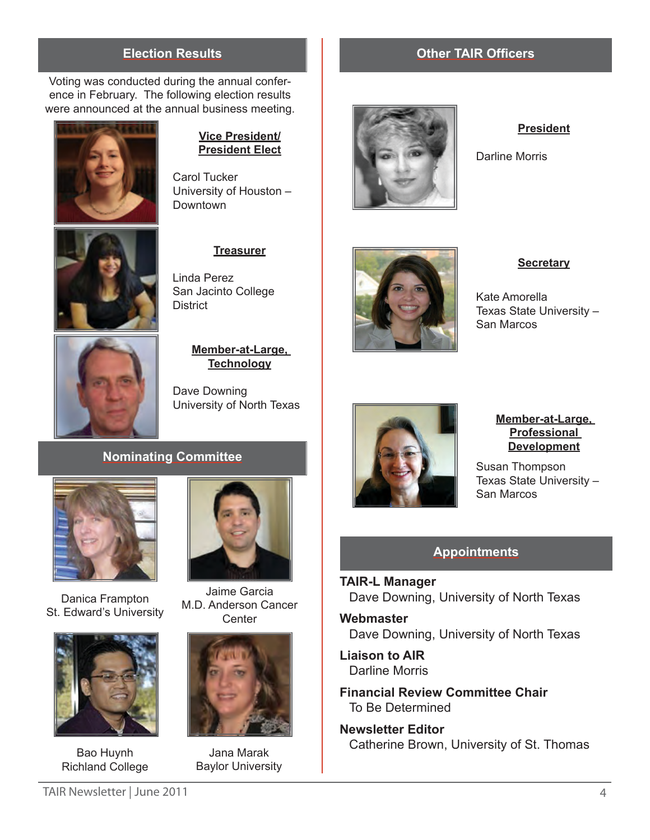#### **Election Results Other TAIR Officers**

Voting was conducted during the annual conference in February. The following election results were announced at the annual business meeting.



#### **Vice President/ President Elect**

Carol Tucker University of Houston – **Downtown** 

#### **Treasurer**

Linda Perez San Jacinto College **District** 



#### **Member-at-Large, Technology**

Dave Downing University of North Texas

## **Nominating Committee**



Danica Frampton St. Edward's University



Bao Huynh Richland College



Jaime Garcia M.D. Anderson Cancer **Center** 



Jana Marak Baylor University



#### **President**

Darline Morris



**Secretary**

Kate Amorella Texas State University – San Marcos



**Member-at-Large, Professional Development**

Susan Thompson Texas State University – San Marcos

#### **Appointments**

**TAIR-L Manager** Dave Downing, University of North Texas

**Webmaster** Dave Downing, University of North Texas

**Liaison to AIR** Darline Morris

**Financial Review Committee Chair** To Be Determined

**Newsletter Editor** Catherine Brown, University of St. Thomas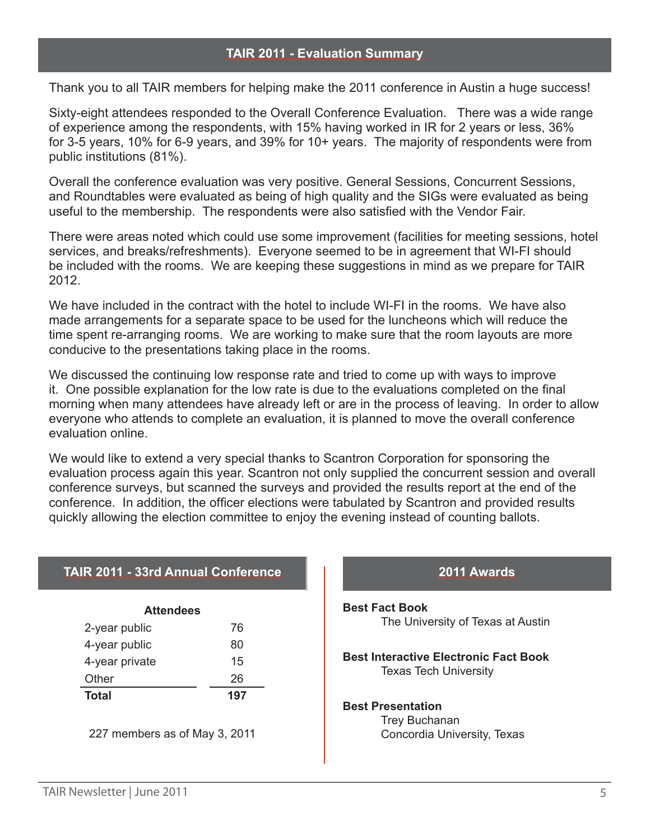Thank you to all TAIR members for helping make the 2011 conference in Austin a huge success!

Sixty-eight attendees responded to the Overall Conference Evaluation. There was a wide range of experience among the respondents, with 15% having worked in IR for 2 years or less, 36% for 3-5 years, 10% for 6-9 years, and 39% for 10+ years. The majority of respondents were from public institutions (81%).

Overall the conference evaluation was very positive. General Sessions, Concurrent Sessions, and Roundtables were evaluated as being of high quality and the SIGs were evaluated as being useful to the membership. The respondents were also satisfied with the Vendor Fair.

There were areas noted which could use some improvement (facilities for meeting sessions, hotel services, and breaks/refreshments). Everyone seemed to be in agreement that WI-FI should be included with the rooms. We are keeping these suggestions in mind as we prepare for TAIR 2012.

We have included in the contract with the hotel to include WI-FI in the rooms. We have also made arrangements for a separate space to be used for the luncheons which will reduce the time spent re-arranging rooms. We are working to make sure that the room layouts are more conducive to the presentations taking place in the rooms.

We discussed the continuing low response rate and tried to come up with ways to improve it. One possible explanation for the low rate is due to the evaluations completed on the final morning when many attendees have already left or are in the process of leaving. In order to allow everyone who attends to complete an evaluation, it is planned to move the overall conference evaluation online.

We would like to extend a very special thanks to Scantron Corporation for sponsoring the evaluation process again this year. Scantron not only supplied the concurrent session and overall conference surveys, but scanned the surveys and provided the results report at the end of the conference. In addition, the officer elections were tabulated by Scantron and provided results quickly allowing the election committee to enjoy the evening instead of counting ballots.

| <b>Attendees</b> |     |  |
|------------------|-----|--|
| 2-year public    | 76  |  |
| 4-year public    | 80  |  |
| 4-year private   | 15  |  |
| Other            | 26  |  |
| <b>Total</b>     | 197 |  |

**TAIR 2011 - 33rd Annual Conference**

227 members as of May 3, 2011

# **2011 Awards Best Fact Book** The University of Texas at Austin

**Best Interactive Electronic Fact Book** Texas Tech University

#### **Best Presentation**

Trey Buchanan Concordia University, Texas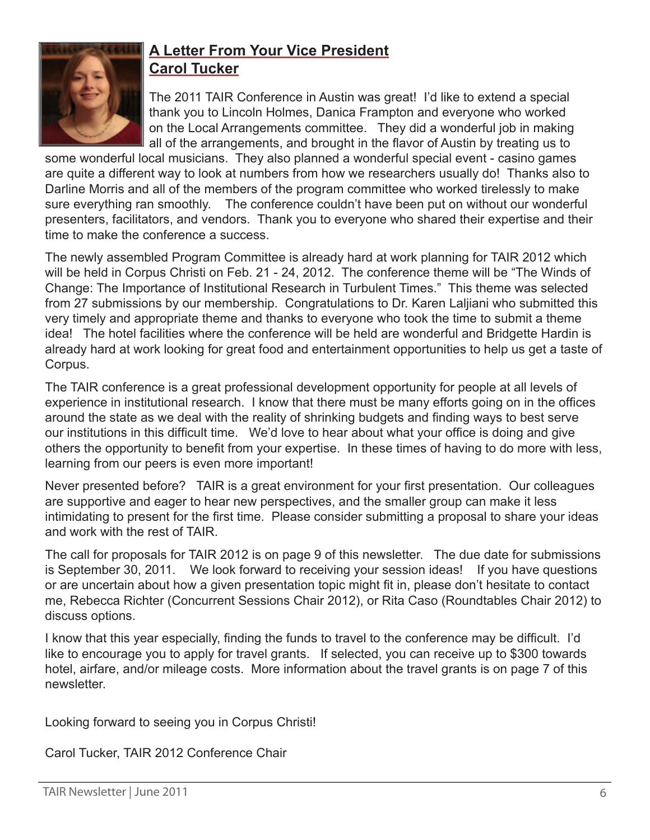

# **A Letter From Your Vice President Carol Tucker**

The 2011 TAIR Conference in Austin was great! I'd like to extend a special thank you to Lincoln Holmes, Danica Frampton and everyone who worked on the Local Arrangements committee. They did a wonderful job in making all of the arrangements, and brought in the flavor of Austin by treating us to

some wonderful local musicians. They also planned a wonderful special event - casino games are quite a different way to look at numbers from how we researchers usually do! Thanks also to Darline Morris and all of the members of the program committee who worked tirelessly to make sure everything ran smoothly. The conference couldn't have been put on without our wonderful presenters, facilitators, and vendors. Thank you to everyone who shared their expertise and their time to make the conference a success.

The newly assembled Program Committee is already hard at work planning for TAIR 2012 which will be held in Corpus Christi on Feb. 21 - 24, 2012. The conference theme will be "The Winds of Change: The Importance of Institutional Research in Turbulent Times." This theme was selected from 27 submissions by our membership. Congratulations to Dr. Karen Laljiani who submitted this very timely and appropriate theme and thanks to everyone who took the time to submit a theme idea! The hotel facilities where the conference will be held are wonderful and Bridgette Hardin is already hard at work looking for great food and entertainment opportunities to help us get a taste of Corpus.

The TAIR conference is a great professional development opportunity for people at all levels of experience in institutional research. I know that there must be many efforts going on in the offices around the state as we deal with the reality of shrinking budgets and finding ways to best serve our institutions in this difficult time. We'd love to hear about what your office is doing and give others the opportunity to benefit from your expertise. In these times of having to do more with less, learning from our peers is even more important!

Never presented before? TAIR is a great environment for your first presentation. Our colleagues are supportive and eager to hear new perspectives, and the smaller group can make it less intimidating to present for the first time. Please consider submitting a proposal to share your ideas and work with the rest of TAIR.

The call for proposals for TAIR 2012 is on page 9 of this newsletter. The due date for submissions is September 30, 2011. We look forward to receiving your session ideas! If you have questions or are uncertain about how a given presentation topic might fit in, please don't hesitate to contact me, Rebecca Richter (Concurrent Sessions Chair 2012), or Rita Caso (Roundtables Chair 2012) to discuss options.

I know that this year especially, finding the funds to travel to the conference may be difficult. I'd like to encourage you to apply for travel grants. If selected, you can receive up to \$300 towards hotel, airfare, and/or mileage costs. More information about the travel grants is on page 7 of this newsletter.

Looking forward to seeing you in Corpus Christi!

Carol Tucker, TAIR 2012 Conference Chair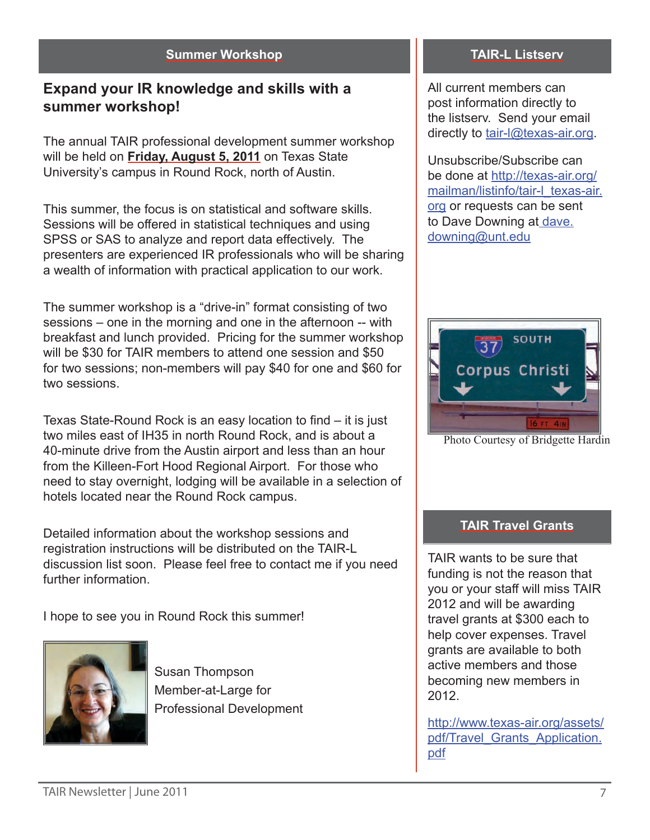#### **Summer Workshop**

# **Expand your IR knowledge and skills with a summer workshop!**

The annual TAIR professional development summer workshop will be held on **Friday, August 5, 2011** on Texas State University's campus in Round Rock, north of Austin.

This summer, the focus is on statistical and software skills. Sessions will be offered in statistical techniques and using SPSS or SAS to analyze and report data effectively. The presenters are experienced IR professionals who will be sharing a wealth of information with practical application to our work.

The summer workshop is a "drive-in" format consisting of two sessions – one in the morning and one in the afternoon -- with breakfast and lunch provided. Pricing for the summer workshop will be \$30 for TAIR members to attend one session and \$50 for two sessions; non-members will pay \$40 for one and \$60 for two sessions.

Texas State-Round Rock is an easy location to find – it is just two miles east of IH35 in north Round Rock, and is about a 40-minute drive from the Austin airport and less than an hour from the Killeen-Fort Hood Regional Airport. For those who need to stay overnight, lodging will be available in a selection of hotels located near the Round Rock campus.

Detailed information about the workshop sessions and registration instructions will be distributed on the TAIR-L discussion list soon. Please feel free to contact me if you need further information.

I hope to see you in Round Rock this summer!



Susan Thompson Member-at-Large for Professional Development

#### **TAIR-L Listserv**

All current members can post information directly to the listserv. Send your email directly to [tair-l@texas-air.org](mailto:tair-l%40texas-air.org?subject=).

Unsubscribe/Subscribe can be done at [http://texas-air.org/](http://texas-air.org/mailman/listinfo/tair-l_texas-air.org) [mailman/listinfo/tair-l\\_texas-air.](http://texas-air.org/mailman/listinfo/tair-l_texas-air.org) [org](http://texas-air.org/mailman/listinfo/tair-l_texas-air.org) or requests can be sent to Dave Downing at [dave.](mailto:dave.downing%40unt.edu?subject=) [downing@unt.edu](mailto:dave.downing%40unt.edu?subject=)



Photo Courtesy of Bridgette Hardin

### **TAIR Travel Grants**

TAIR wants to be sure that funding is not the reason that you or your staff will miss TAIR 2012 and will be awarding travel grants at \$300 each to help cover expenses. Travel grants are available to both active members and those becoming new members in 2012.

[http://www.texas-air.org/assets/](http://www.texas-air.org/assets/pdf/Travel_Grants_Application.pdf) [pdf/Travel\\_Grants\\_Application.](http://www.texas-air.org/assets/pdf/Travel_Grants_Application.pdf) [pdf](http://www.texas-air.org/assets/pdf/Travel_Grants_Application.pdf)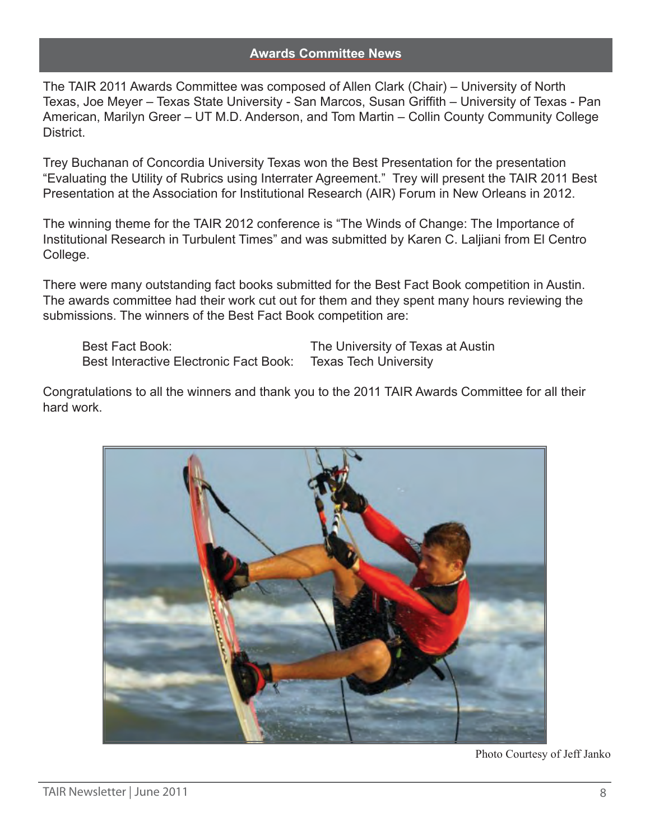#### **Awards Committee News**

The TAIR 2011 Awards Committee was composed of Allen Clark (Chair) – University of North Texas, Joe Meyer – Texas State University - San Marcos, Susan Griffith – University of Texas - Pan American, Marilyn Greer – UT M.D. Anderson, and Tom Martin – Collin County Community College **District** 

Trey Buchanan of Concordia University Texas won the Best Presentation for the presentation "Evaluating the Utility of Rubrics using Interrater Agreement." Trey will present the TAIR 2011 Best Presentation at the Association for Institutional Research (AIR) Forum in New Orleans in 2012.

The winning theme for the TAIR 2012 conference is "The Winds of Change: The Importance of Institutional Research in Turbulent Times" and was submitted by Karen C. Laljiani from El Centro College.

There were many outstanding fact books submitted for the Best Fact Book competition in Austin. The awards committee had their work cut out for them and they spent many hours reviewing the submissions. The winners of the Best Fact Book competition are:

Best Fact Book: The University of Texas at Austin Best Interactive Electronic Fact Book: Texas Tech University

Congratulations to all the winners and thank you to the 2011 TAIR Awards Committee for all their hard work.



Photo Courtesy of Jeff Janko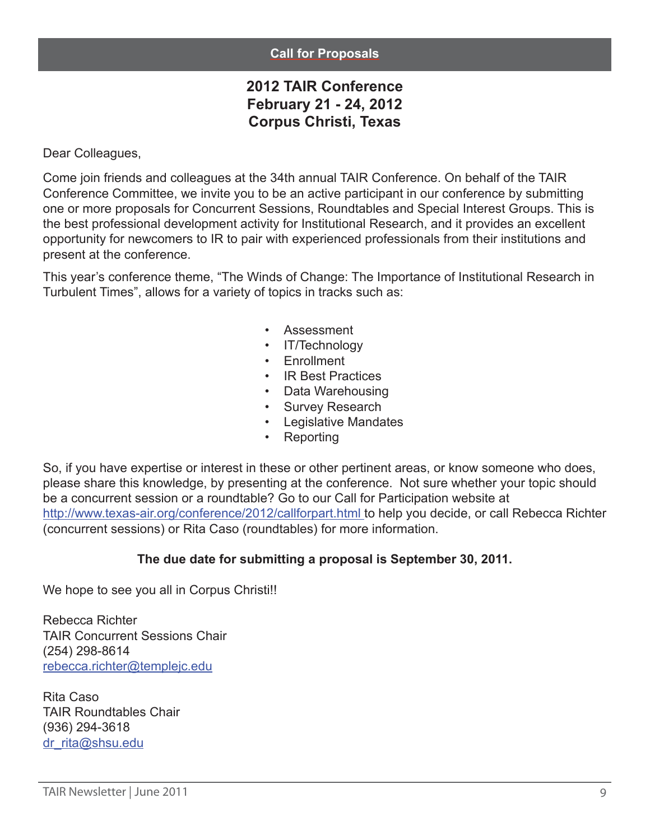#### **Call for Proposals**

# **2012 TAIR Conference February 21 - 24, 2012 Corpus Christi, Texas**

Dear Colleagues,

Come join friends and colleagues at the 34th annual TAIR Conference. On behalf of the TAIR Conference Committee, we invite you to be an active participant in our conference by submitting one or more proposals for Concurrent Sessions, Roundtables and Special Interest Groups. This is the best professional development activity for Institutional Research, and it provides an excellent opportunity for newcomers to IR to pair with experienced professionals from their institutions and present at the conference.

This year's conference theme, "The Winds of Change: The Importance of Institutional Research in Turbulent Times", allows for a variety of topics in tracks such as:

- **Assessment**
- IT/Technology
- Enrollment
- IR Best Practices
- Data Warehousing
- Survey Research
- Legislative Mandates
- Reporting

So, if you have expertise or interest in these or other pertinent areas, or know someone who does, please share this knowledge, by presenting at the conference. Not sure whether your topic should be a concurrent session or a roundtable? Go to our Call for Participation website at <http://www.texas-air.org/conference/2012/callforpart.html>to help you decide, or call Rebecca Richter (concurrent sessions) or Rita Caso (roundtables) for more information.

### **The due date for submitting a proposal is September 30, 2011.**

We hope to see you all in Corpus Christi!!

Rebecca Richter TAIR Concurrent Sessions Chair (254) 298-8614 [rebecca.richter@templejc.edu](mailto:rebecca.richter%40templejc.edu?subject=)

Rita Caso TAIR Roundtables Chair (936) 294-3618 [dr\\_rita@shsu.edu](mailto:dr_rita%40shsu.edu?subject=)